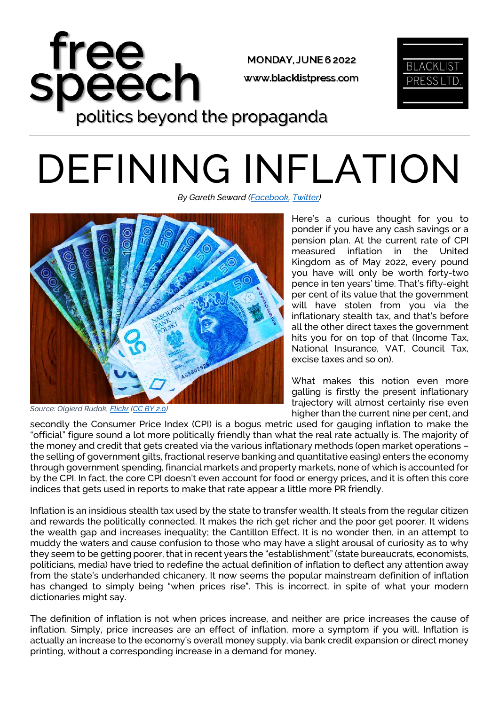

## DEFINING INFLATION

*By Gareth Seward [\(Facebook,](https://www.facebook.com/GarethSewardLPUK) [Twitter\)](https://twitter.com/GarethSeward80)*



*Source: Olgierd Rudak[, Flickr](https://live.staticflickr.com/4667/25667055967_e622e13a79_b.jpg) [\(CC BY 2.0\)](https://creativecommons.org/licenses/by/2.0/)*

Here's a curious thought for you to ponder if you have any cash savings or a pension plan. At the current rate of CPI measured inflation in the United Kingdom as of May 2022, every pound you have will only be worth forty-two pence in ten years' time. That's fifty-eight per cent of its value that the government will have stolen from you via the inflationary stealth tax, and that's before all the other direct taxes the government hits you for on top of that (Income Tax, National Insurance, VAT, Council Tax, excise taxes and so on).

What makes this notion even more galling is firstly the present inflationary trajectory will almost certainly rise even higher than the current nine per cent, and

secondly the Consumer Price Index (CPI) is a bogus metric used for gauging inflation to make the "official" figure sound a lot more politically friendly than what the real rate actually is. The majority of the money and credit that gets created via the various inflationary methods (open market operations – the selling of government gilts, fractional reserve banking and quantitative easing) enters the economy through government spending, financial markets and property markets, none of which is accounted for by the CPI. In fact, the core CPI doesn't even account for food or energy prices, and it is often this core indices that gets used in reports to make that rate appear a little more PR friendly.

Inflation is an insidious stealth tax used by the state to transfer wealth. It steals from the regular citizen and rewards the politically connected. It makes the rich get richer and the poor get poorer. It widens the wealth gap and increases inequality; the Cantillon Effect. It is no wonder then, in an attempt to muddy the waters and cause confusion to those who may have a slight arousal of curiosity as to why they seem to be getting poorer, that in recent years the "establishment" (state bureaucrats, economists, politicians, media) have tried to redefine the actual definition of inflation to deflect any attention away from the state's underhanded chicanery. It now seems the popular mainstream definition of inflation has changed to simply being "when prices rise". This is incorrect, in spite of what your modern dictionaries might say.

The definition of inflation is not when prices increase, and neither are price increases the cause of inflation. Simply, price increases are an effect of inflation, more a symptom if you will. Inflation is actually an increase to the economy's overall money supply, via bank credit expansion or direct money printing, without a corresponding increase in a demand for money.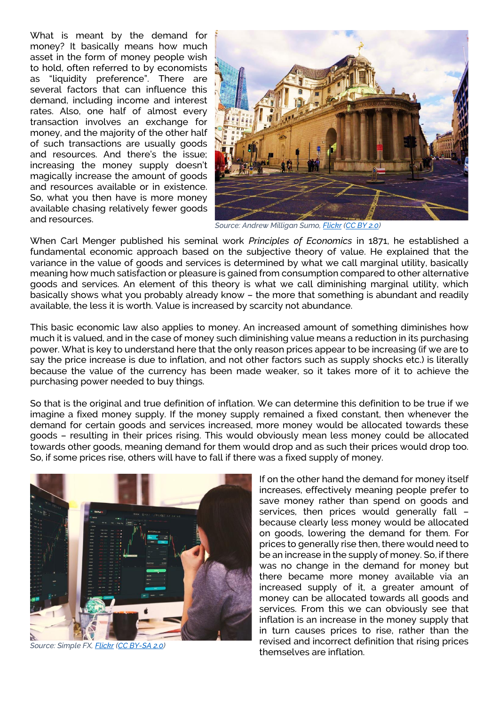What is meant by the demand for money? It basically means how much asset in the form of money people wish to hold, often referred to by economists as "liquidity preference". There are several factors that can influence this demand, including income and interest rates. Also, one half of almost every transaction involves an exchange for money, and the majority of the other half of such transactions are usually goods and resources. And there's the issue; increasing the money supply doesn't magically increase the amount of goods and resources available or in existence. So, what you then have is more money available chasing relatively fewer goods and resources.



*Source: Andrew Milligan Sumo[, Flickr](https://live.staticflickr.com/4609/28295911139_9ea8e69a0f_4k.jpg) [\(CC BY 2.0\)](https://creativecommons.org/licenses/by/2.0/)*

When Carl Menger published his seminal work *Principles of Economics* in 1871, he established a fundamental economic approach based on the subjective theory of value. He explained that the variance in the value of goods and services is determined by what we call marginal utility, basically meaning how much satisfaction or pleasure is gained from consumption compared to other alternative goods and services. An element of this theory is what we call diminishing marginal utility, which basically shows what you probably already know – the more that something is abundant and readily available, the less it is worth. Value is increased by scarcity not abundance.

This basic economic law also applies to money. An increased amount of something diminishes how much it is valued, and in the case of money such diminishing value means a reduction in its purchasing power. What is key to understand here that the only reason prices appear to be increasing (if we are to say the price increase is due to inflation, and not other factors such as supply shocks etc.) is literally because the value of the currency has been made weaker, so it takes more of it to achieve the purchasing power needed to buy things.

So that is the original and true definition of inflation. We can determine this definition to be true if we imagine a fixed money supply. If the money supply remained a fixed constant, then whenever the demand for certain goods and services increased, more money would be allocated towards these goods – resulting in their prices rising. This would obviously mean less money could be allocated towards other goods, meaning demand for them would drop and as such their prices would drop too. So, if some prices rise, others will have to fall if there was a fixed supply of money.



*Source: Simple FX[, Flickr](https://live.staticflickr.com/1935/43360486100_c22ed94c0c_c.jpg) [\(CC BY-SA 2.0\)](https://creativecommons.org/licenses/by-sa/2.0/)*

If on the other hand the demand for money itself increases, effectively meaning people prefer to save money rather than spend on goods and services, then prices would generally fall – because clearly less money would be allocated on goods, lowering the demand for them. For prices to generally rise then, there would need to be an increase in the supply of money. So, if there was no change in the demand for money but there became more money available via an increased supply of it, a greater amount of money can be allocated towards all goods and services. From this we can obviously see that inflation is an increase in the money supply that in turn causes prices to rise, rather than the revised and incorrect definition that rising prices themselves are inflation.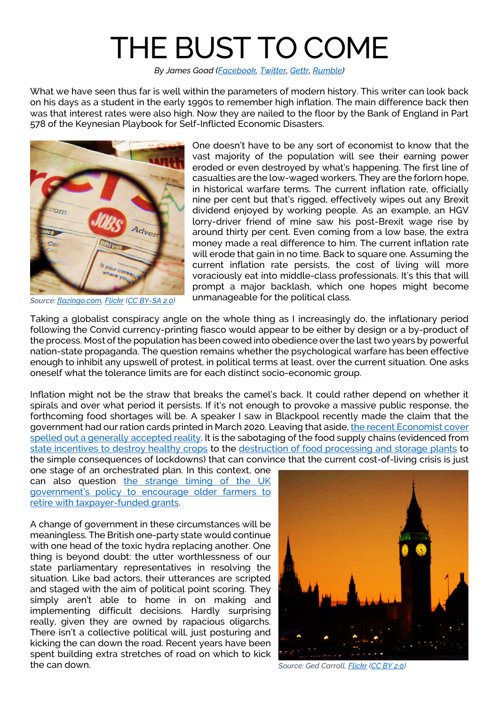## THE BUST TO COME

*By James Goad [\(Facebook,](https://www.facebook.com/HistUnchained) [Twitter,](https://twitter.com/HistoryUnchain) [Gettr,](https://gettr.com/user/heckyman) [Rumble\)](https://rumble.com/user/UnchainedHistory)*

What we have seen thus far is well within the parameters of modern history. This writer can look back on his days as a student in the early 1990s to remember high inflation. The main difference back then was that interest rates were also high. Now they are nailed to the floor by the Bank of England in Part 578 of the Keynesian Playbook for Self-Inflicted Economic Disasters.



*Source: [flazingo.com,](http://www.flazingo.com/) [Flickr](https://live.staticflickr.com/7315/13903388778_3fb5f59efd_k.jpg) [\(CC BY-SA 2.0\)](https://creativecommons.org/licenses/by-sa/2.0/)*

One doesn't have to be any sort of economist to know that the vast majority of the population will see their earning power eroded or even destroyed by what's happening. The first line of casualties are the low-waged workers. They are the forlorn hope, in historical warfare terms. The current inflation rate, officially nine per cent but that's rigged, effectively wipes out any Brexit dividend enjoyed by working people. As an example, an HGV lorry-driver friend of mine saw his post-Brexit wage rise by around thirty per cent. Even coming from a low base, the extra money made a real difference to him. The current inflation rate will erode that gain in no time. Back to square one. Assuming the current inflation rate persists, the cost of living will more voraciously eat into middle-class professionals. It's this that will prompt a major backlash, which one hopes might become unmanageable for the political class.

Taking a globalist conspiracy angle on the whole thing as I increasingly do, the inflationary period following the Convid currency-printing fiasco would appear to be either by design or a by-product of the process. Most of the population has been cowed into obedience over the last two years by powerful nation-state propaganda. The question remains whether the psychological warfare has been effective enough to inhibit any upswell of protest, in political terms at least, over the current situation. One asks oneself what the tolerance limits are for each distinct socio-economic group.

Inflation might not be the straw that breaks the camel's back. It could rather depend on whether it spirals and over what period it persists. If it's not enough to provoke a massive public response, the forthcoming food shortages will be. A speaker I saw in Blackpool recently made the claim that the government had our ration cards printed in March 2020. Leaving that aside[, the recent Economist cover](https://www.economist.com/leaders/2022/05/19/the-coming-food-catastrophe) [spelled out a generally accepted](https://www.economist.com/leaders/2022/05/19/the-coming-food-catastrophe) reality. It is the sabotaging of the food supply chains (evidenced from [state incentives to destroy healthy crops](https://www.tiktok.com/@thepopcornfarmer/video/6996804151564979461) to the destruction [of food processing and storage plants](https://www.alor.org/blog/the-planned-destruction-of-food-processing-facilitiesby-charles-taylor-florida) to the simple consequences of lockdowns) that can convince that the current cost-of-living crisis is just

one stage of an orchestrated plan. In this context, one can also question [the strange timing of the UK](https://www.bbc.co.uk/news/science-environment-57149744)  [government's policy to encourage older](https://www.bbc.co.uk/news/science-environment-57149744) farmers to [retire with taxpayer-funded grants.](https://www.bbc.co.uk/news/science-environment-57149744)

A change of government in these circumstances will be meaningless. The British one-party state would continue with one head of the toxic hydra replacing another. One thing is beyond doubt: the utter worthlessness of our state parliamentary representatives in resolving the situation. Like bad actors, their utterances are scripted and staged with the aim of political point scoring. They simply aren't able to home in on making and implementing difficult decisions. Hardly surprising really, given they are owned by rapacious oligarchs. There isn't a collective political will, just posturing and kicking the can down the road. Recent years have been spent building extra stretches of road on which to kick the can down.



*Source: Ged Carroll[, Flickr](https://live.staticflickr.com/2748/4201376562_a542a199c5_4k.jpg) [\(CC BY 2.0\)](https://creativecommons.org/licenses/by/2.0/)*